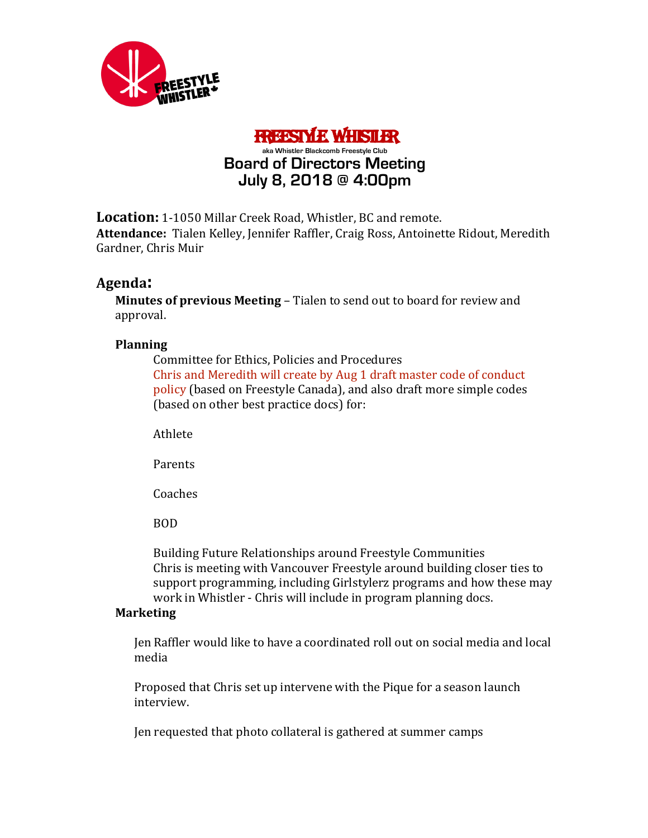

## FREESTYLE WHISTLER **aka Whistler Blackcomb Freestyle Club Board of Directors Meeting July 8, 2018 @ 4:00pm**

**Location:** 1-1050 Millar Creek Road, Whistler, BC and remote. Attendance: Tialen Kelley, Jennifer Raffler, Craig Ross, Antoinette Ridout, Meredith Gardner, Chris Muir

# **Agenda:**

**Minutes of previous Meeting** – Tialen to send out to board for review and approval.

### **Planning**

Committee for Ethics, Policies and Procedures Chris and Meredith will create by Aug 1 draft master code of conduct policy (based on Freestyle Canada), and also draft more simple codes (based on other best practice docs) for:

Athlete

Parents

Coaches

BOD

Building Future Relationships around Freestyle Communities Chris is meeting with Vancouver Freestyle around building closer ties to support programming, including Girlstylerz programs and how these may work in Whistler - Chris will include in program planning docs.

### **Marketing**

Jen Raffler would like to have a coordinated roll out on social media and local media

Proposed that Chris set up intervene with the Pique for a season launch interview.

Jen requested that photo collateral is gathered at summer camps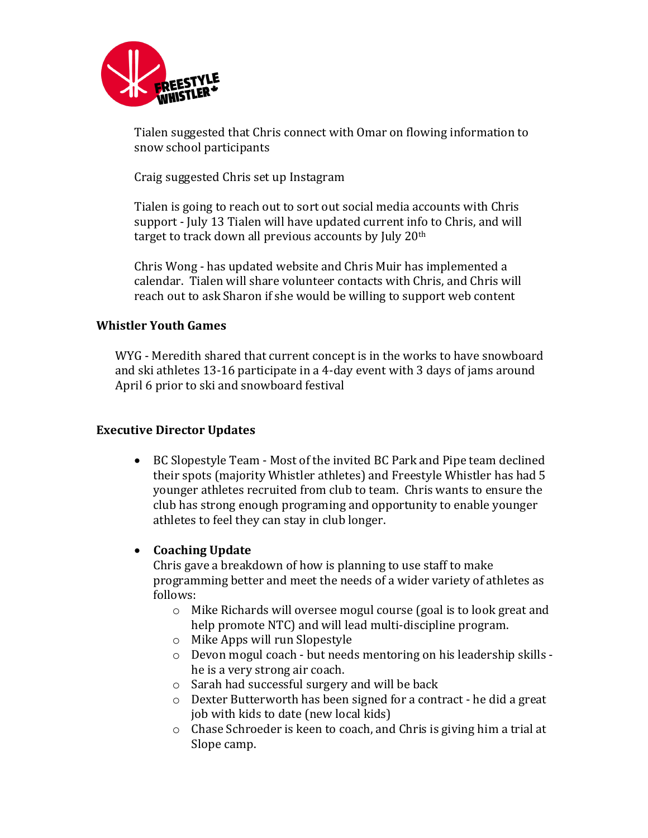

Tialen suggested that Chris connect with Omar on flowing information to snow school participants

Craig suggested Chris set up Instagram

Tialen is going to reach out to sort out social media accounts with Chris support - July 13 Tialen will have updated current info to Chris, and will target to track down all previous accounts by July  $20<sup>th</sup>$ 

Chris Wong - has updated website and Chris Muir has implemented a calendar. Tialen will share volunteer contacts with Chris, and Chris will reach out to ask Sharon if she would be willing to support web content

### **Whistler Youth Games**

WYG - Meredith shared that current concept is in the works to have snowboard and ski athletes 13-16 participate in a 4-day event with 3 days of jams around April 6 prior to ski and snowboard festival

### **Executive Director Updates**

• BC Slopestyle Team - Most of the invited BC Park and Pipe team declined their spots (majority Whistler athletes) and Freestyle Whistler has had 5 younger athletes recruited from club to team. Chris wants to ensure the club has strong enough programing and opportunity to enable younger athletes to feel they can stay in club longer.

### • **Coaching Update**

Chris gave a breakdown of how is planning to use staff to make programming better and meet the needs of a wider variety of athletes as follows:

- $\circ$  Mike Richards will oversee mogul course (goal is to look great and help promote NTC) and will lead multi-discipline program.
- $\circ$  Mike Apps will run Slopestyle
- $\circ$  Devon mogul coach but needs mentoring on his leadership skills he is a very strong air coach.
- $\circ$  Sarah had successful surgery and will be back
- $\circ$  Dexter Butterworth has been signed for a contract he did a great job with kids to date (new local kids)
- $\circ$  Chase Schroeder is keen to coach, and Chris is giving him a trial at Slope camp.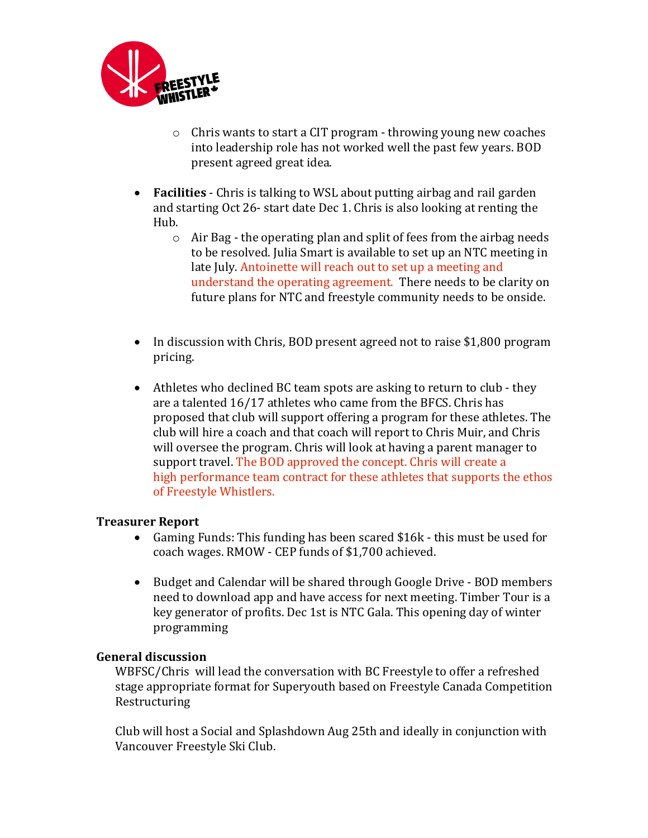

- $\circ$  Chris wants to start a CIT program throwing young new coaches into leadership role has not worked well the past few years. BOD present agreed great idea.
- **Facilities** Chris is talking to WSL about putting airbag and rail garden and starting Oct 26- start date Dec 1. Chris is also looking at renting the Hub.
	- $\circ$  Air Bag the operating plan and split of fees from the airbag needs to be resolved. Julia Smart is available to set up an NTC meeting in late July. Antoinette will reach out to set up a meeting and understand the operating agreement. There needs to be clarity on future plans for NTC and freestyle community needs to be onside.
- In discussion with Chris, BOD present agreed not to raise \$1,800 program pricing.
- Athletes who declined BC team spots are asking to return to club they are a talented 16/17 athletes who came from the BFCS. Chris has proposed that club will support offering a program for these athletes. The club will hire a coach and that coach will report to Chris Muir, and Chris will oversee the program. Chris will look at having a parent manager to support travel. The BOD approved the concept. Chris will create a high performance team contract for these athletes that supports the ethos of Freestyle Whistlers.

### **Treasurer Report**

- Gaming Funds: This funding has been scared \$16k this must be used for coach wages. RMOW - CEP funds of \$1,700 achieved.
- Budget and Calendar will be shared through Google Drive BOD members need to download app and have access for next meeting. Timber Tour is a key generator of profits. Dec 1st is NTC Gala. This opening day of winter programming

#### **General discussion**

WBFSC/Chris will lead the conversation with BC Freestyle to offer a refreshed stage appropriate format for Superyouth based on Freestyle Canada Competition Restructuring

Club will host a Social and Splashdown Aug 25th and ideally in conjunction with Vancouver Freestyle Ski Club.